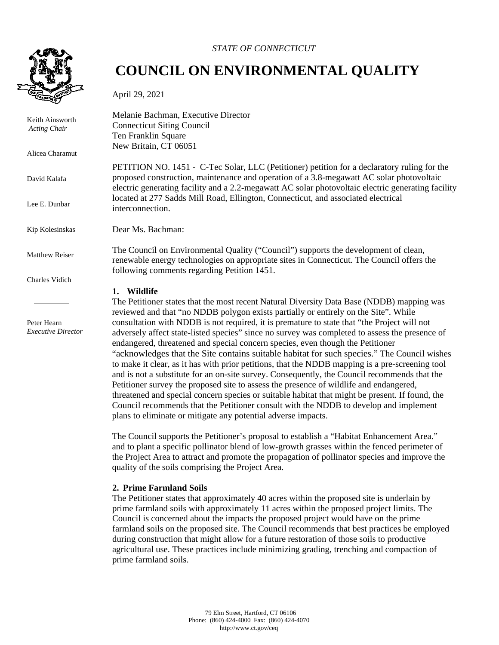

Keith Ainsworth *Acting Chair* 

Alicea Charamut

David Kalafa

Lee E. Dunbar

Kip Kolesinskas

Matthew Reiser

Charles Vidich

Peter Hearn *Executive Director*

### *STATE OF CONNECTICUT*

# **COUNCIL ON ENVIRONMENTAL QUALITY**

April 29, 2021

Melanie Bachman, Executive Director Connecticut Siting Council Ten Franklin Square New Britain, CT 06051

PETITION NO. 1451 - C-Tec Solar, LLC (Petitioner) petition for a declaratory ruling for the proposed construction, maintenance and operation of a 3.8-megawatt AC solar photovoltaic electric generating facility and a 2.2-megawatt AC solar photovoltaic electric generating facility located at 277 Sadds Mill Road, Ellington, Connecticut, and associated electrical interconnection.

Dear Ms. Bachman:

The Council on Environmental Quality ("Council") supports the development of clean, renewable energy technologies on appropriate sites in Connecticut. The Council offers the following comments regarding Petition 1451.

#### **1. Wildlife**

The Petitioner states that the most recent Natural Diversity Data Base (NDDB) mapping was reviewed and that "no NDDB polygon exists partially or entirely on the Site". While consultation with NDDB is not required, it is premature to state that "the Project will not adversely affect state-listed species" since no survey was completed to assess the presence of endangered, threatened and special concern species, even though the Petitioner "acknowledges that the Site contains suitable habitat for such species." The Council wishes to make it clear, as it has with prior petitions, that the NDDB mapping is a pre-screening tool and is not a substitute for an on-site survey. Consequently, the Council recommends that the Petitioner survey the proposed site to assess the presence of wildlife and endangered, threatened and special concern species or suitable habitat that might be present. If found, the Council recommends that the Petitioner consult with the NDDB to develop and implement plans to eliminate or mitigate any potential adverse impacts.

The Council supports the Petitioner's proposal to establish a "Habitat Enhancement Area." and to plant a specific pollinator blend of low-growth grasses within the fenced perimeter of the Project Area to attract and promote the propagation of pollinator species and improve the quality of the soils comprising the Project Area.

## **2. Prime Farmland Soils**

The Petitioner states that approximately 40 acres within the proposed site is underlain by prime farmland soils with approximately 11 acres within the proposed project limits. The Council is concerned about the impacts the proposed project would have on the prime farmland soils on the proposed site. The Council recommends that best practices be employed during construction that might allow for a future restoration of those soils to productive agricultural use. These practices include minimizing grading, trenching and compaction of prime farmland soils.